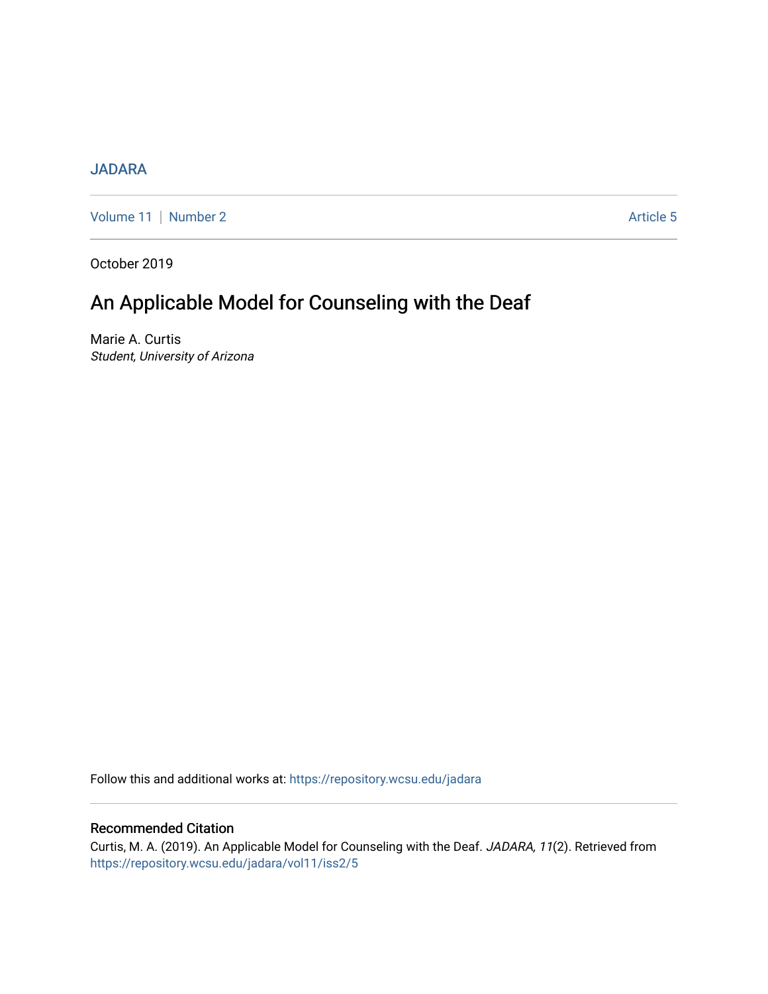# [JADARA](https://repository.wcsu.edu/jadara)

[Volume 11](https://repository.wcsu.edu/jadara/vol11) | [Number 2](https://repository.wcsu.edu/jadara/vol11/iss2) Article 5

October 2019

# An Applicable Model for Counseling with the Deaf

Marie A. Curtis Student, University of Arizona

Follow this and additional works at: [https://repository.wcsu.edu/jadara](https://repository.wcsu.edu/jadara?utm_source=repository.wcsu.edu%2Fjadara%2Fvol11%2Fiss2%2F5&utm_medium=PDF&utm_campaign=PDFCoverPages)

# Recommended Citation

Curtis, M. A. (2019). An Applicable Model for Counseling with the Deaf. JADARA, 11(2). Retrieved from [https://repository.wcsu.edu/jadara/vol11/iss2/5](https://repository.wcsu.edu/jadara/vol11/iss2/5?utm_source=repository.wcsu.edu%2Fjadara%2Fvol11%2Fiss2%2F5&utm_medium=PDF&utm_campaign=PDFCoverPages)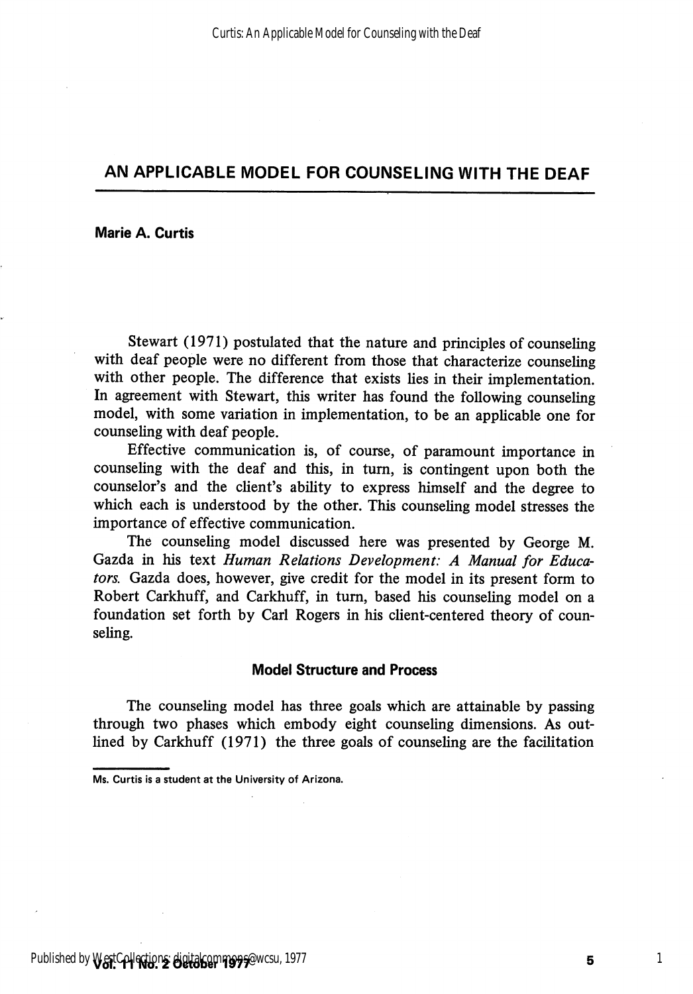Marie A. Curtis

Stewart (1971) postulated that the nature and principles of counseling with deaf people were no different from those that characterize counseling with other people. The difference that exists lies in their implementation. In agreement with Stewart, this writer has found the following counseling model, with some variation in implementation, to be an applicable one for counseling with deaf people.

Effective communication is, of course, of paramount importance in counseling with the deaf and this, in turn, is contingent upon both the counselor's and the client's ability to express himself and the degree to which each is understood by the other. This counseling model stresses the importance of effective communication.

The counseling model discussed here was presented by George M. Gazda in his text Human Relations Development: A Manual for Educa tors. Gazda does, however, give credit for the model in its present form to Robert Carkhuff, and Carkhuff, in turn, based his counseling model on a foimdation set forth by Carl Rogers in his client-centered theory of coun seling.

#### Model Structure and Process

The counseling model has three goals which are attainable by passing through two phases which embody eight counseling dimensions. As outlined by Carkhuff (1971) the three goals of counseling are the facilitation

Ms. Curtis is a student at the University of Arizona.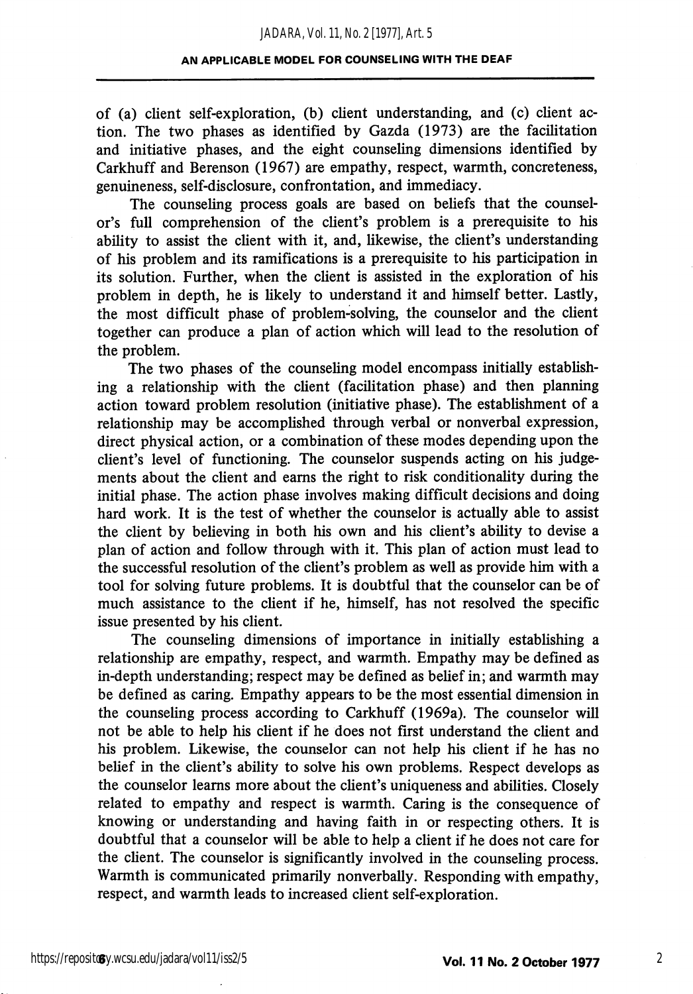of (a) client self-exploration, (b) client understanding, and (c) client ac tion. The two phases as identified by Gazda (1973) are the facilitation and initiative phases, and the eight counseling dimensions identified by Carkhuff and Berenson (1967) are empathy, respect, warmth, concreteness, genuineness, self-disclosure, confrontation, and immediacy.

The counseling process goals are based on beliefs that the counselor's full comprehension of the client's problem is a prerequisite to his ability to assist the client with it, and, likewise, the client's understanding of his problem and its ramifications is a prerequisite to his participation in its solution. Further, when the client is assisted in the exploration of his problem in depth, he is likely to understand it and himself better. Lastly, the most difficult phase of problem-solving, the counselor and the client together can produce a plan of action which will lead to the resolution of the problem.

The two phases of the counseling model encompass initially establish ing a relationship with the client (facilitation phase) and then planning action toward problem resolution (initiative phase). The establishment of a relationship may be accomplished through verbal or nonverbal expression, direct physical action, or a combination of these modes depending upon the client's level of functioning. The counselor suspends acting on his judge ments about the client and earns the right to risk conditionality during the initial phase. The action phase involves making difficult decisions and doing hard work. It is the test of whether the counselor is actually able to assist the client by beheving in both his own and his client's ability to devise a plan of action and follow through with it. This plan of action must lead to the successful resolution of the client's problem as well as provide him with a tool for solving future problems. It is doubtful that the counselor can be of much assistance to the client if he, himself, has not resolved the specific issue presented by his client.

The counseling dimensions of importance in initially establishing a relationship are empathy, respect, and warmth. Empathy may be defined as in-depth understanding; respect may be defined as belief in; and warmth may be defined as caring. Empathy appears to be the most essential dimension in the counseling process according to Carkhuff (1969a). The counselor will not be able to help his client if he does not first understand the client and his problem. Likewise, the counselor can not help his client if he has no belief in the client's ability to solve his own problems. Respect develops as the counselor learns more about the client's uniqueness and abilities. Closely related to empathy and respect is warmth. Caring is the consequence of knowing or understanding and having faith in or respecting others. It is doubtful that a counselor will be able to help a client if he does not care for the client. The counselor is significantly involved in the counseling process. Warmth is communicated primarily nonverbally. Responding with empathy, respect, and warmth leads to increased client self-exploration.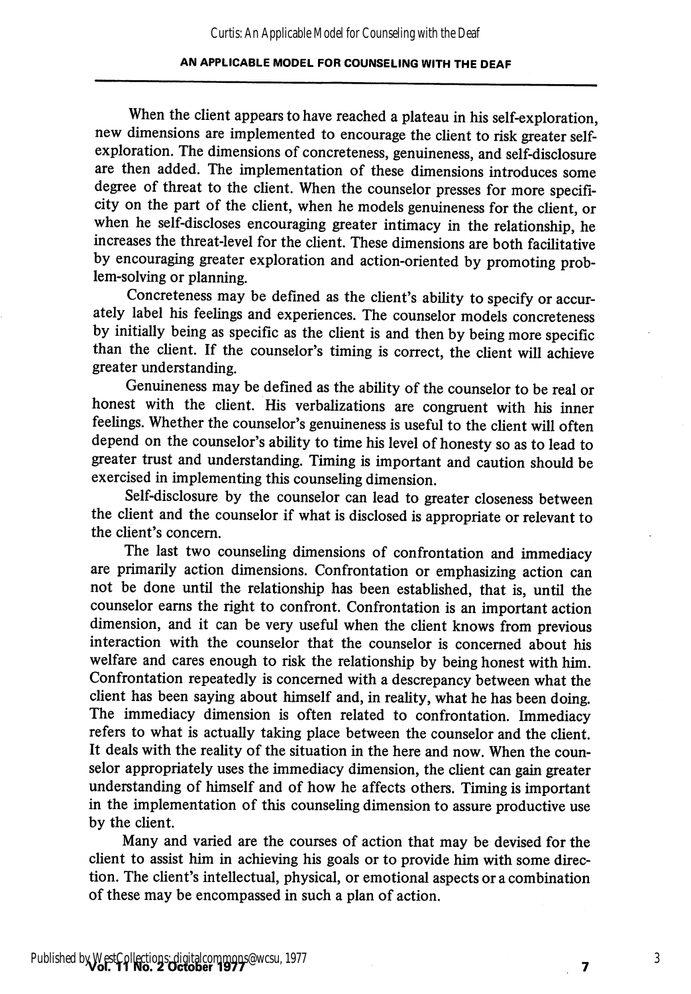When the client appears to have reached a plateau in his self-exploration, new dimensions are implemented to encourage the client to risk greater selfexploration. The dimensions of concreteness, genuineness, and self-disclosure are then added. The implementation of these dimensions introduces some degree of threat to the client. When the counselor presses for more specifi city on the part of the client, when he models genuineness for the client, or when he self-discloses encouraging greater intimacy in the relationship, he increases the threat-level for the client. These dimensions are both facilitative by encouraging greater exploration and action-oriented by promoting prob lem-solving or planning.

Concreteness may be defined as the client's ability to specify or accur ately label his feelings and experiences. The counselor models concreteness by initially being as specific as the client is and then by being more specific than the client. If the counselor's timing is correct, the client will achieve greater understanding.

Genuineness may be defined as the ability of the counselor to be real or honest with the client. His verbalizations are congruent with his inner feelings. Whether the counselor's genuineness is useful to the client will often depend on the counselor's ability to time his level of honesty so as to lead to greater trust and understanding. Timing is important and caution should be exercised in implementing this counseling dimension.

Self-disclosure by the counselor can lead to greater closeness between the client and the counselor if what is disclosed is appropriate or relevant to the client's concern.

The last two counseling dimensions of confrontation and immediacy are primarily action dimensions. Confrontation or emphasizing action can not be done until the relationship has been established, that is, until the counselor earns the right to confront. Confrontation is an important action dimension, and it can be very useful when the client knows from previous interaction with the counselor that the counselor is concerned about his welfare and cares enough to risk the relationship by being honest with him. Confrontation repeatedly is concerned with a descrepancy between what the client has been saying about himself and, in reality, what he has been doing. The immediacy dimension is often related to confrontation. Immediacy refers to what is actually taking place between the counselor and the client. It deals with the reality of the situation in the here and now. When the coun selor appropriately uses the immediacy dimension, the client can gain greater understanding of himself and of how he affects others. Timing is important in the implementation of this counseling dimension to assure productive use by the client.

Many and varied are the courses of action that may be devised for the client to assist him in achieving his goals or to provide him with some direction. The client's intellectual, physical, or emotional aspects or a combination of these may be encompassed in such a plan of action.

 $\overline{\mathbf{z}}$ 

3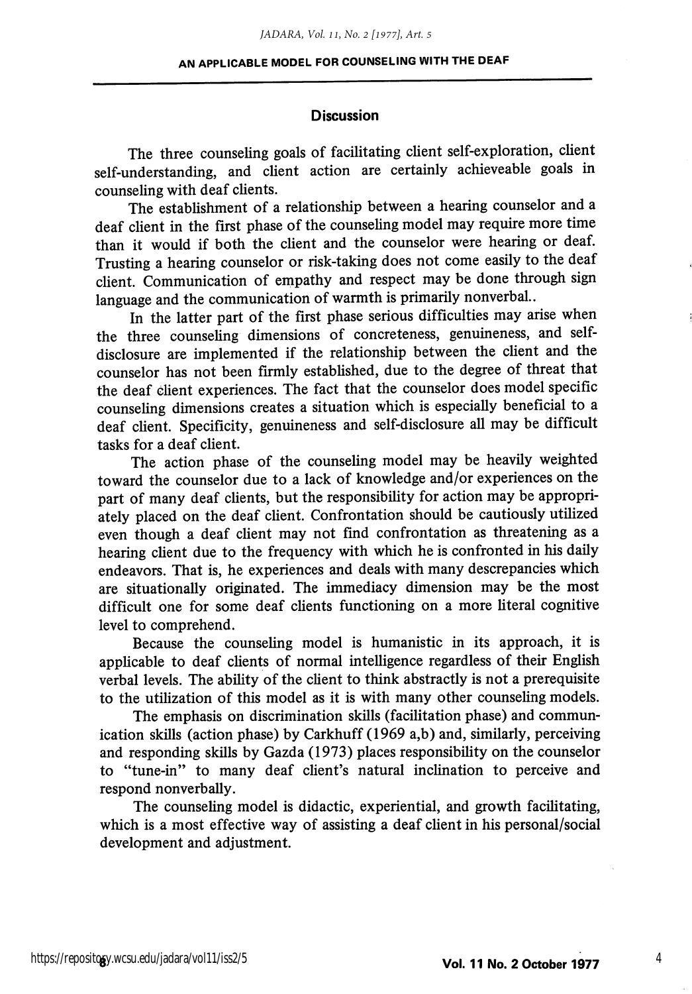#### **Discussion**

The three counseling goals of facilitating client self-exploration, client self-understanding, and client action are certainly achieveable goals in counseling with deaf clients.

The establishment of a relationship between a hearing counselor and a deaf client in the first phase of the counseling model may require more time than it would if both the client and the counselor were hearing or deaf. Trusting a hearing counselor or risk-taking does not come easily to the deaf client. Communication of empathy and respect may be done through sign language and the communication of warmth is primarily nonverbal..

In the latter part of the first phase serious difficulties may arise when the three counseling dimensions of concreteness, genuineness, and selfdisclosure are implemented if the relationship between the client and the counselor has not been firmly established, due to the degree of threat that the deaf client experiences. The fact that the counselor does model specific counseling dimensions creates a situation which is especially beneficial to a deaf client. Specificity, genuineness and self-disclosure all may be difficult tasks for a deaf client.

The action phase of the counseling model may be heavily weighted toward the counselor due to a lack of knowledge and/or experiences on the part of many deaf clients, but the responsibility for action may be appropriately placed on the deaf client. Confrontation should be cautiously utilized even though a deaf client may not find confrontation as threatening as a hearing client due to the frequency with which he is confronted in his daily endeavors. That is, he experiences and deals with many descrepancies which are situationally originated. The immediacy dimension may be the most difficult one for some deaf clients functioning on a more literal cognitive level to comprehend.

Because the counseling model is humanistic in its approach, it is applicable to deaf clients of normal intelligence regardless of their English verbal levels. The ability of the client to think abstractly is not a prerequisite to the utilization of this model as it is with many other counseling models.

The emphasis on discrimination skills (facilitation phase) and commun ication skills (action phase) by Carkhuff (1969 a,b) and, similarly, perceiving and responding skills by Gazda (1973) places responsibihty on the counselor to "tune-in" to many deaf client's natural inclination to perceive and respond nonverbally.

The counseling model is didactic, experiential, and growth facilitating, which is a most effective way of assisting a deaf client in his personal/social development and adjustment.